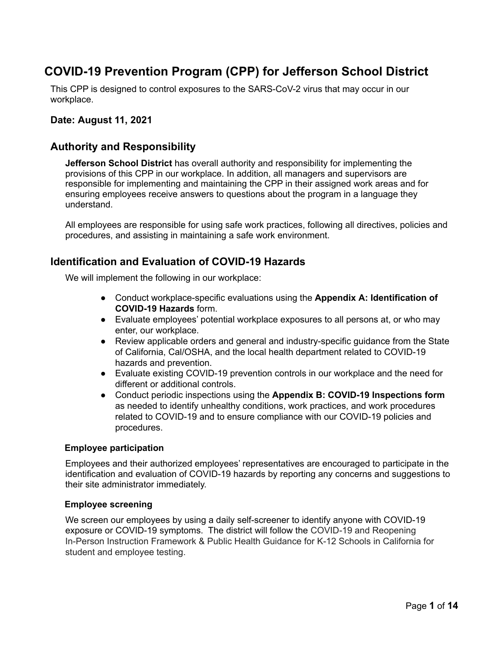# **COVID-19 Prevention Program (CPP) for Jefferson School District**

This CPP is designed to control exposures to the SARS-CoV-2 virus that may occur in our workplace.

### Date: August 11, 2021

### **Authority and Responsibility**

Jefferson School District has overall authority and responsibility for implementing the provisions of this CPP in our workplace. In addition, all managers and supervisors are responsible for implementing and maintaining the CPP in their assigned work areas and for ensuring employees receive answers to questions about the program in a language they understand.

All employees are responsible for using safe work practices, following all directives, policies and procedures, and assisting in maintaining a safe work environment.

## **Identification and Evaluation of COVID-19 Hazards**

We will implement the following in our workplace:

- Conduct workplace-specific evaluations using the Appendix A: Identification of **COVID-19 Hazards form.**
- Evaluate employees' potential workplace exposures to all persons at, or who may enter, our workplace.
- Review applicable orders and general and industry-specific guidance from the State of California, Cal/OSHA, and the local health department related to COVID-19 hazards and prevention.
- Evaluate existing COVID-19 prevention controls in our workplace and the need for different or additional controls.
- Conduct periodic inspections using the Appendix B: COVID-19 Inspections form as needed to identify unhealthy conditions, work practices, and work procedures related to COVID-19 and to ensure compliance with our COVID-19 policies and procedures.

#### **Employee participation**

Employees and their authorized employees' representatives are encouraged to participate in the identification and evaluation of COVID-19 hazards by reporting any concerns and suggestions to their site administrator immediately.

#### **Employee screening**

We screen our employees by using a daily self-screener to identify anyone with COVID-19 exposure or COVID-19 symptoms. The district will follow the COVID-19 and Reopening In-Person Instruction Framework & Public Health Guidance for K-12 Schools in California for student and employee testing.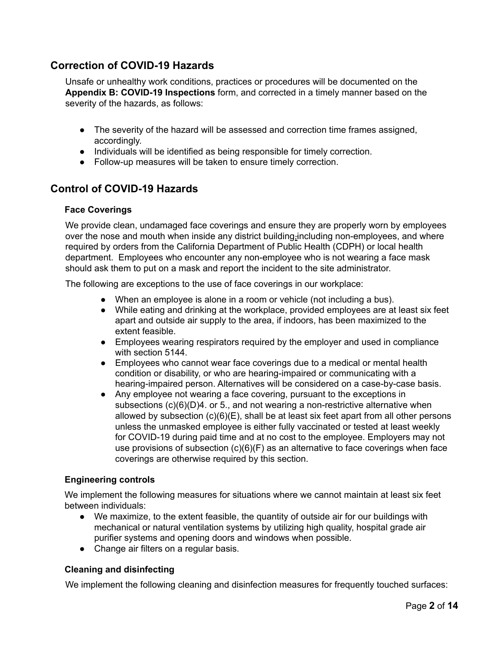# **Correction of COVID-19 Hazards**

Unsafe or unhealthy work conditions, practices or procedures will be documented on the Appendix B: COVID-19 Inspections form, and corrected in a timely manner based on the severity of the hazards, as follows:

- The severity of the hazard will be assessed and correction time frames assigned, accordingly.
- Individuals will be identified as being responsible for timely correction.
- Follow-up measures will be taken to ensure timely correction.

# **Control of COVID-19 Hazards**

#### **Face Coverings**

We provide clean, undamaged face coverings and ensure they are properly worn by employees over the nose and mouth when inside any district building-including non-employees, and where required by orders from the California Department of Public Health (CDPH) or local health department. Employees who encounter any non-employee who is not wearing a face mask should ask them to put on a mask and report the incident to the site administrator.

The following are exceptions to the use of face coverings in our workplace:

- When an employee is alone in a room or vehicle (not including a bus).
- While eating and drinking at the workplace, provided employees are at least six feet apart and outside air supply to the area, if indoors, has been maximized to the extent feasible.
- Employees wearing respirators required by the employer and used in compliance with section 5144.
- Employees who cannot wear face coverings due to a medical or mental health condition or disability, or who are hearing-impaired or communicating with a hearing-impaired person. Alternatives will be considered on a case-by-case basis.
- Any employee not wearing a face covering, pursuant to the exceptions in subsections  $(c)(6)(D)4$ . or 5., and not wearing a non-restrictive alternative when allowed by subsection (c)(6)(E), shall be at least six feet apart from all other persons unless the unmasked employee is either fully vaccinated or tested at least weekly for COVID-19 during paid time and at no cost to the employee. Employers may not use provisions of subsection  $(c)(6)(F)$  as an alternative to face coverings when face coverings are otherwise required by this section.

### **Engineering controls**

We implement the following measures for situations where we cannot maintain at least six feet between individuals:

- We maximize, to the extent feasible, the quantity of outside air for our buildings with mechanical or natural ventilation systems by utilizing high quality, hospital grade air purifier systems and opening doors and windows when possible.
- Change air filters on a regular basis.

### **Cleaning and disinfecting**

We implement the following cleaning and disinfection measures for frequently touched surfaces: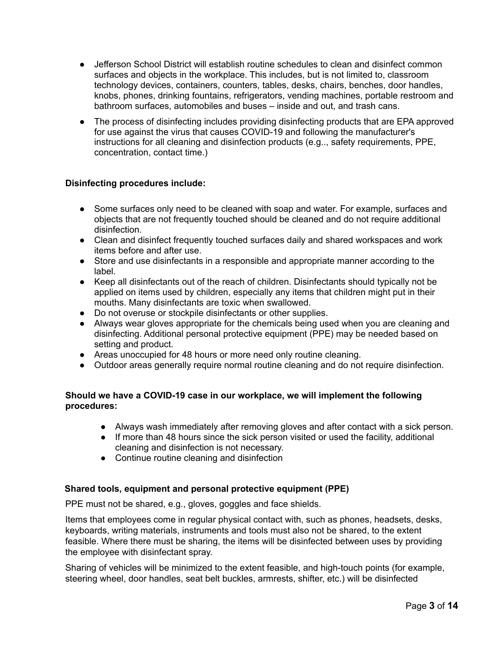- Jefferson School District will establish routine schedules to clean and disinfect common surfaces and objects in the workplace. This includes, but is not limited to, classroom technology devices, containers, counters, tables, desks, chairs, benches, door handles, knobs, phones, drinking fountains, refrigerators, vending machines, portable restroom and bathroom surfaces, automobiles and buses – inside and out, and trash cans.
- The process of disinfecting includes providing disinfecting products that are EPA approved for use against the virus that causes COVID-19 and following the manufacturer's instructions for all cleaning and disinfection products (e.g., safety requirements, PPE, concentration, contact time.)

### **Disinfecting procedures include:**

- Some surfaces only need to be cleaned with soap and water. For example, surfaces and objects that are not frequently touched should be cleaned and do not require additional disinfection.
- Clean and disinfect frequently touched surfaces daily and shared workspaces and work items before and after use.
- Store and use disinfectants in a responsible and appropriate manner according to the lahel
- Keep all disinfectants out of the reach of children. Disinfectants should typically not be applied on items used by children, especially any items that children might put in their mouths. Many disinfectants are toxic when swallowed.
- Do not overuse or stockpile disinfectants or other supplies.
- Always wear gloves appropriate for the chemicals being used when you are cleaning and disinfecting. Additional personal protective equipment (PPE) may be needed based on setting and product.
- Areas unoccupied for 48 hours or more need only routine cleaning.
- Outdoor areas generally require normal routine cleaning and do not require disinfection.

### Should we have a COVID-19 case in our workplace, we will implement the following procedures:

- Always wash immediately after removing gloves and after contact with a sick person.
- If more than 48 hours since the sick person visited or used the facility, additional cleaning and disinfection is not necessary.
- Continue routine cleaning and disinfection

### Shared tools, equipment and personal protective equipment (PPE)

PPE must not be shared, e.g., gloves, goggles and face shields.

Items that employees come in regular physical contact with, such as phones, headsets, desks, keyboards, writing materials, instruments and tools must also not be shared, to the extent feasible. Where there must be sharing, the items will be disinfected between uses by providing the employee with disinfectant spray.

Sharing of vehicles will be minimized to the extent feasible, and high-touch points (for example, steering wheel, door handles, seat belt buckles, armrests, shifter, etc.) will be disinfected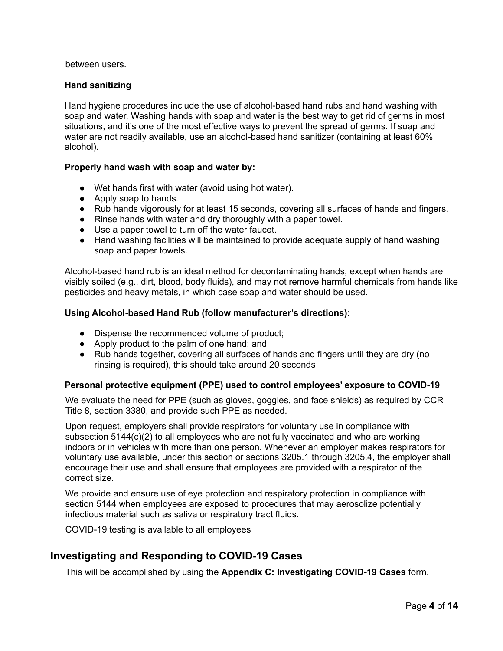between users.

#### **Hand sanitizing**

Hand hygiene procedures include the use of alcohol-based hand rubs and hand washing with soap and water. Washing hands with soap and water is the best way to get rid of germs in most situations, and it's one of the most effective ways to prevent the spread of germs. If soap and water are not readily available, use an alcohol-based hand sanitizer (containing at least 60% alcohol).

#### Properly hand wash with soap and water by:

- Wet hands first with water (avoid using hot water).
- Apply soap to hands.
- Rub hands vigorously for at least 15 seconds, covering all surfaces of hands and fingers.
- Rinse hands with water and dry thoroughly with a paper towel.
- Use a paper towel to turn off the water faucet.
- Hand washing facilities will be maintained to provide adequate supply of hand washing soap and paper towels.

Alcohol-based hand rub is an ideal method for decontaminating hands, except when hands are visibly soiled (e.g., dirt, blood, body fluids), and may not remove harmful chemicals from hands like pesticides and heavy metals, in which case soap and water should be used.

#### Using Alcohol-based Hand Rub (follow manufacturer's directions):

- Dispense the recommended volume of product:
- Apply product to the palm of one hand; and
- Rub hands together, covering all surfaces of hands and fingers until they are dry (no rinsing is required), this should take around 20 seconds

#### Personal protective equipment (PPE) used to control employees' exposure to COVID-19

We evaluate the need for PPE (such as gloves, goggles, and face shields) as required by CCR Title 8, section 3380, and provide such PPE as needed.

Upon request, employers shall provide respirators for voluntary use in compliance with subsection  $5144(c)(2)$  to all employees who are not fully vaccinated and who are working indoors or in vehicles with more than one person. Whenever an employer makes respirators for voluntary use available, under this section or sections 3205.1 through 3205.4, the employer shall encourage their use and shall ensure that employees are provided with a respirator of the correct size.

We provide and ensure use of eve protection and respiratory protection in compliance with section 5144 when employees are exposed to procedures that may aerosolize potentially infectious material such as saliva or respiratory tract fluids.

COVID-19 testing is available to all employees

### Investigating and Responding to COVID-19 Cases

This will be accomplished by using the Appendix C: Investigating COVID-19 Cases form.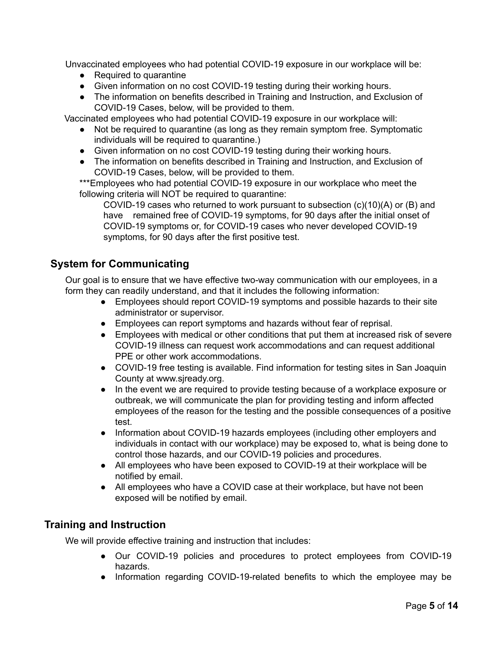Unvaccinated employees who had potential COVID-19 exposure in our workplace will be:

- Required to quarantine
- Given information on no cost COVID-19 testing during their working hours.
- The information on benefits described in Training and Instruction, and Exclusion of COVID-19 Cases, below, will be provided to them.

Vaccinated employees who had potential COVID-19 exposure in our workplace will:

- Not be required to quarantine (as long as they remain symptom free. Symptomatic individuals will be required to quarantine.)
- Given information on no cost COVID-19 testing during their working hours.
- The information on benefits described in Training and Instruction, and Exclusion of COVID-19 Cases, below, will be provided to them.

\*\*\*Employees who had potential COVID-19 exposure in our workplace who meet the following criteria will NOT be required to quarantine:

COVID-19 cases who returned to work pursuant to subsection (c)(10)(A) or (B) and have remained free of COVID-19 symptoms, for 90 days after the initial onset of COVID-19 symptoms or, for COVID-19 cases who never developed COVID-19 symptoms, for 90 days after the first positive test.

# **System for Communicating**

Our goal is to ensure that we have effective two-way communication with our employees, in a form they can readily understand, and that it includes the following information:

- Employees should report COVID-19 symptoms and possible hazards to their site administrator or supervisor.
- Employees can report symptoms and hazards without fear of reprisal.
- Employees with medical or other conditions that put them at increased risk of severe COVID-19 illness can request work accommodations and can request additional PPE or other work accommodations.
- COVID-19 free testing is available. Find information for testing sites in San Joaquin County at www.siready.org.
- In the event we are required to provide testing because of a workplace exposure or outbreak, we will communicate the plan for providing testing and inform affected employees of the reason for the testing and the possible consequences of a positive test.
- Information about COVID-19 hazards employees (including other employers and individuals in contact with our workplace) may be exposed to, what is being done to control those hazards, and our COVID-19 policies and procedures.
- All employees who have been exposed to COVID-19 at their workplace will be notified by email.
- All employees who have a COVID case at their workplace, but have not been exposed will be notified by email.

# **Training and Instruction**

We will provide effective training and instruction that includes:

- Our COVID-19 policies and procedures to protect employees from COVID-19 hazards.
- Information regarding COVID-19-related benefits to which the employee may be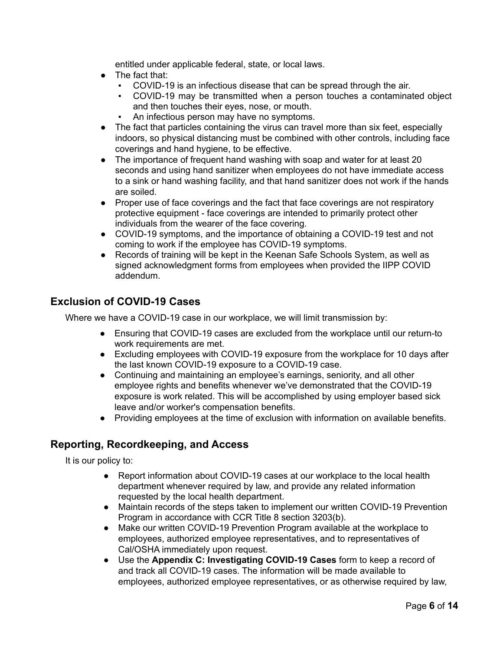entitled under applicable federal, state, or local laws.

- The fact that:
	- COVID-19 is an infectious disease that can be spread through the air.
	- COVID-19 may be transmitted when a person touches a contaminated object and then touches their eyes, nose, or mouth.
	- An infectious person may have no symptoms.
- The fact that particles containing the virus can travel more than six feet, especially indoors, so physical distancing must be combined with other controls, including face coverings and hand hygiene, to be effective.
- The importance of frequent hand washing with soap and water for at least 20 seconds and using hand sanitizer when employees do not have immediate access to a sink or hand washing facility, and that hand sanitizer does not work if the hands are soiled.
- Proper use of face coverings and the fact that face coverings are not respiratory protective equipment - face coverings are intended to primarily protect other individuals from the wearer of the face covering.
- COVID-19 symptoms, and the importance of obtaining a COVID-19 test and not coming to work if the employee has COVID-19 symptoms.
- Records of training will be kept in the Keenan Safe Schools System, as well as signed acknowledgment forms from employees when provided the IIPP COVID addendum.

# **Exclusion of COVID-19 Cases**

Where we have a COVID-19 case in our workplace, we will limit transmission by:

- Ensuring that COVID-19 cases are excluded from the workplace until our return-to work requirements are met.
- Excluding employees with COVID-19 exposure from the workplace for 10 days after the last known COVID-19 exposure to a COVID-19 case.
- Continuing and maintaining an employee's earnings, seniority, and all other employee rights and benefits whenever we've demonstrated that the COVID-19 exposure is work related. This will be accomplished by using employer based sick leave and/or worker's compensation benefits.
- Providing employees at the time of exclusion with information on available benefits.

# Reporting, Recordkeeping, and Access

It is our policy to:

- Report information about COVID-19 cases at our workplace to the local health  $\bullet$ department whenever required by law, and provide any related information requested by the local health department.
- Maintain records of the steps taken to implement our written COVID-19 Prevention Program in accordance with CCR Title 8 section 3203(b).
- Make our written COVID-19 Prevention Program available at the workplace to  $\bullet$ employees, authorized employee representatives, and to representatives of Cal/OSHA immediately upon request.
- Use the Appendix C: Investigating COVID-19 Cases form to keep a record of  $\bullet$ and track all COVID-19 cases. The information will be made available to employees, authorized employee representatives, or as otherwise required by law,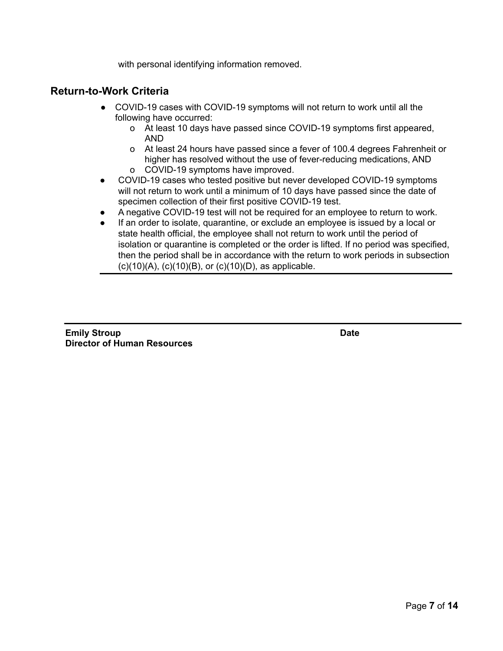with personal identifying information removed.

# **Return-to-Work Criteria**

- COVID-19 cases with COVID-19 symptoms will not return to work until all the following have occurred:
	- o At least 10 days have passed since COVID-19 symptoms first appeared, **AND**
	- o At least 24 hours have passed since a fever of 100.4 degrees Fahrenheit or higher has resolved without the use of fever-reducing medications, AND o COVID-19 symptoms have improved.
- COVID-19 cases who tested positive but never developed COVID-19 symptoms  $\bullet$ will not return to work until a minimum of 10 days have passed since the date of specimen collection of their first positive COVID-19 test.
- A negative COVID-19 test will not be required for an employee to return to work.  $\bullet$
- If an order to isolate, quarantine, or exclude an employee is issued by a local or  $\bullet$ state health official, the employee shall not return to work until the period of isolation or quarantine is completed or the order is lifted. If no period was specified, then the period shall be in accordance with the return to work periods in subsection  $(c)(10)(A)$ ,  $(c)(10)(B)$ , or  $(c)(10)(D)$ , as applicable.

| <b>Emily Stroup</b>                |  |
|------------------------------------|--|
| <b>Director of Human Resources</b> |  |

**Date**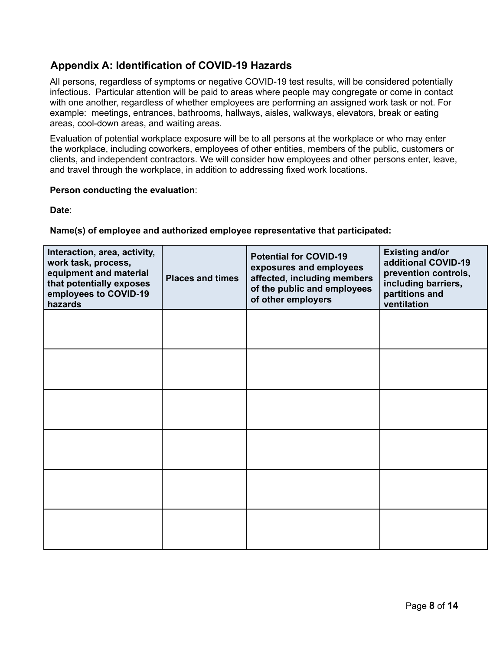# **Appendix A: Identification of COVID-19 Hazards**

All persons, regardless of symptoms or negative COVID-19 test results, will be considered potentially infectious. Particular attention will be paid to areas where people may congregate or come in contact with one another, regardless of whether employees are performing an assigned work task or not. For example: meetings, entrances, bathrooms, hallways, aisles, walkways, elevators, break or eating areas, cool-down areas, and waiting areas.

Evaluation of potential workplace exposure will be to all persons at the workplace or who may enter the workplace, including coworkers, employees of other entities, members of the public, customers or clients, and independent contractors. We will consider how employees and other persons enter, leave, and travel through the workplace, in addition to addressing fixed work locations.

#### Person conducting the evaluation:

Date:

### Name(s) of employee and authorized employee representative that participated:

| Interaction, area, activity,<br>work task, process,<br>equipment and material<br>that potentially exposes<br>employees to COVID-19<br>hazards | <b>Places and times</b> | <b>Potential for COVID-19</b><br>exposures and employees<br>affected, including members<br>of the public and employees<br>of other employers | <b>Existing and/or</b><br>additional COVID-19<br>prevention controls,<br>including barriers,<br>partitions and<br>ventilation |
|-----------------------------------------------------------------------------------------------------------------------------------------------|-------------------------|----------------------------------------------------------------------------------------------------------------------------------------------|-------------------------------------------------------------------------------------------------------------------------------|
|                                                                                                                                               |                         |                                                                                                                                              |                                                                                                                               |
|                                                                                                                                               |                         |                                                                                                                                              |                                                                                                                               |
|                                                                                                                                               |                         |                                                                                                                                              |                                                                                                                               |
|                                                                                                                                               |                         |                                                                                                                                              |                                                                                                                               |
|                                                                                                                                               |                         |                                                                                                                                              |                                                                                                                               |
|                                                                                                                                               |                         |                                                                                                                                              |                                                                                                                               |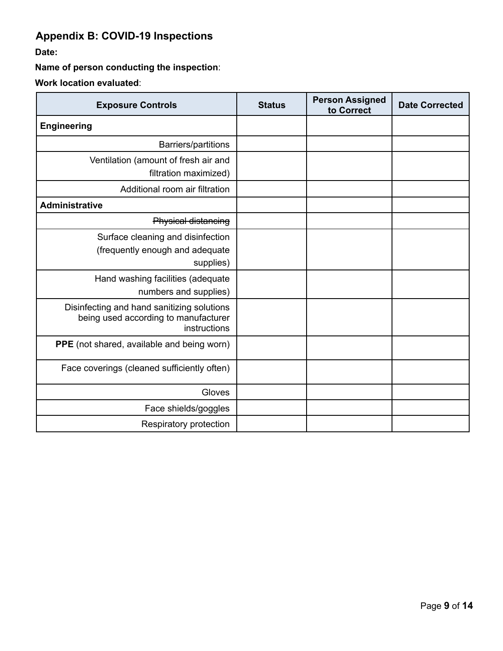# **Appendix B: COVID-19 Inspections**

Date:

Name of person conducting the inspection:

Work location evaluated:

| <b>Exposure Controls</b>                                                                           | <b>Status</b> | <b>Person Assigned</b><br>to Correct | <b>Date Corrected</b> |
|----------------------------------------------------------------------------------------------------|---------------|--------------------------------------|-----------------------|
| <b>Engineering</b>                                                                                 |               |                                      |                       |
| Barriers/partitions                                                                                |               |                                      |                       |
| Ventilation (amount of fresh air and<br>filtration maximized)                                      |               |                                      |                       |
| Additional room air filtration                                                                     |               |                                      |                       |
| <b>Administrative</b>                                                                              |               |                                      |                       |
| <b>Physical distancing</b>                                                                         |               |                                      |                       |
| Surface cleaning and disinfection<br>(frequently enough and adequate<br>supplies)                  |               |                                      |                       |
| Hand washing facilities (adequate<br>numbers and supplies)                                         |               |                                      |                       |
| Disinfecting and hand sanitizing solutions<br>being used according to manufacturer<br>instructions |               |                                      |                       |
| PPE (not shared, available and being worn)                                                         |               |                                      |                       |
| Face coverings (cleaned sufficiently often)                                                        |               |                                      |                       |
| Gloves                                                                                             |               |                                      |                       |
| Face shields/goggles                                                                               |               |                                      |                       |
| Respiratory protection                                                                             |               |                                      |                       |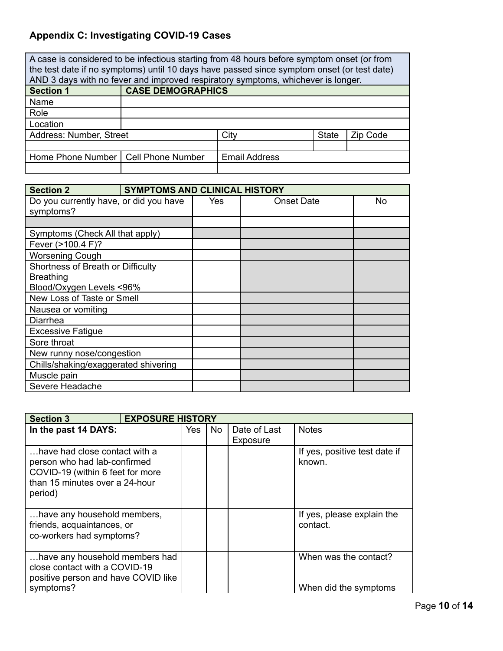# **Appendix C: Investigating COVID-19 Cases**

| A case is considered to be infectious starting from 48 hours before symptom onset (or from<br>the test date if no symptoms) until 10 days have passed since symptom onset (or test date) |                          |                                                                                  |              |          |
|------------------------------------------------------------------------------------------------------------------------------------------------------------------------------------------|--------------------------|----------------------------------------------------------------------------------|--------------|----------|
|                                                                                                                                                                                          |                          | AND 3 days with no fever and improved respiratory symptoms, whichever is longer. |              |          |
| <b>Section 1</b>                                                                                                                                                                         | <b>CASE DEMOGRAPHICS</b> |                                                                                  |              |          |
| Name                                                                                                                                                                                     |                          |                                                                                  |              |          |
| Role                                                                                                                                                                                     |                          |                                                                                  |              |          |
| Location                                                                                                                                                                                 |                          |                                                                                  |              |          |
| Address: Number, Street                                                                                                                                                                  |                          | City                                                                             | <b>State</b> | Zip Code |
|                                                                                                                                                                                          |                          |                                                                                  |              |          |
| Home Phone Number   Cell Phone Number                                                                                                                                                    |                          | <b>Email Address</b>                                                             |              |          |
|                                                                                                                                                                                          |                          |                                                                                  |              |          |

| <b>Section 2</b>                                    | <b>SYMPTOMS AND CLINICAL HISTORY</b> |            |                   |    |
|-----------------------------------------------------|--------------------------------------|------------|-------------------|----|
| Do you currently have, or did you have<br>symptoms? |                                      | <b>Yes</b> | <b>Onset Date</b> | No |
|                                                     |                                      |            |                   |    |
| Symptoms (Check All that apply)                     |                                      |            |                   |    |
| Fever (>100.4 F)?                                   |                                      |            |                   |    |
| <b>Worsening Cough</b>                              |                                      |            |                   |    |
| Shortness of Breath or Difficulty                   |                                      |            |                   |    |
| <b>Breathing</b>                                    |                                      |            |                   |    |
| Blood/Oxygen Levels <96%                            |                                      |            |                   |    |
| New Loss of Taste or Smell                          |                                      |            |                   |    |
| Nausea or vomiting                                  |                                      |            |                   |    |
| Diarrhea                                            |                                      |            |                   |    |
| <b>Excessive Fatigue</b>                            |                                      |            |                   |    |
| Sore throat                                         |                                      |            |                   |    |
| New runny nose/congestion                           |                                      |            |                   |    |
| Chills/shaking/exaggerated shivering                |                                      |            |                   |    |
| Muscle pain                                         |                                      |            |                   |    |
| Severe Headache                                     |                                      |            |                   |    |

| <b>Section 3</b>                                                                                                                               |     | <b>EXPOSURE HISTORY</b> |              |                                                |  |
|------------------------------------------------------------------------------------------------------------------------------------------------|-----|-------------------------|--------------|------------------------------------------------|--|
| In the past 14 DAYS:                                                                                                                           | Yes | <b>No</b>               | Date of Last | <b>Notes</b>                                   |  |
| have had close contact with a<br>person who had lab-confirmed<br>COVID-19 (within 6 feet for more<br>than 15 minutes over a 24-hour<br>period) |     |                         | Exposure     | If yes, positive test date if<br>known.        |  |
| have any household members,<br>friends, acquaintances, or<br>co-workers had symptoms?                                                          |     |                         |              | If yes, please explain the<br>contact.         |  |
| have any household members had<br>close contact with a COVID-19<br>positive person and have COVID like<br>symptoms?                            |     |                         |              | When was the contact?<br>When did the symptoms |  |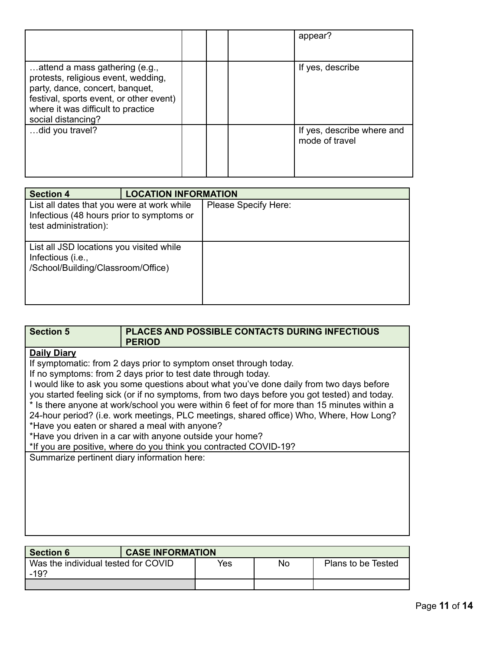|                                                                                                                                                                                                                 |  | appear?                                      |
|-----------------------------------------------------------------------------------------------------------------------------------------------------------------------------------------------------------------|--|----------------------------------------------|
| attend a mass gathering (e.g.,<br>protests, religious event, wedding,<br>party, dance, concert, banquet,<br>festival, sports event, or other event)<br>where it was difficult to practice<br>social distancing? |  | If yes, describe                             |
| did you travel?                                                                                                                                                                                                 |  | If yes, describe where and<br>mode of travel |

| <b>Section 4</b>                                                                                                 | <b>LOCATION INFORMATION</b> |                      |
|------------------------------------------------------------------------------------------------------------------|-----------------------------|----------------------|
| List all dates that you were at work while<br>Infectious (48 hours prior to symptoms or<br>test administration): |                             | Please Specify Here: |
| List all JSD locations you visited while<br>Infectious (i.e.,<br>/School/Building/Classroom/Office)              |                             |                      |

| <b>Section 5</b>                            | PLACES AND POSSIBLE CONTACTS DURING INFECTIOUS                                               |  |  |  |  |
|---------------------------------------------|----------------------------------------------------------------------------------------------|--|--|--|--|
|                                             | <b>PERIOD</b>                                                                                |  |  |  |  |
| <b>Daily Diary</b>                          |                                                                                              |  |  |  |  |
|                                             | If symptomatic: from 2 days prior to symptom onset through today.                            |  |  |  |  |
|                                             | If no symptoms: from 2 days prior to test date through today.                                |  |  |  |  |
|                                             | I would like to ask you some questions about what you've done daily from two days before     |  |  |  |  |
|                                             | you started feeling sick (or if no symptoms, from two days before you got tested) and today. |  |  |  |  |
|                                             | * Is there anyone at work/school you were within 6 feet of for more than 15 minutes within a |  |  |  |  |
|                                             | 24-hour period? (i.e. work meetings, PLC meetings, shared office) Who, Where, How Long?      |  |  |  |  |
|                                             | *Have you eaten or shared a meal with anyone?                                                |  |  |  |  |
|                                             | *Have you driven in a car with anyone outside your home?                                     |  |  |  |  |
|                                             | *If you are positive, where do you think you contracted COVID-19?                            |  |  |  |  |
| Summarize pertinent diary information here: |                                                                                              |  |  |  |  |
|                                             |                                                                                              |  |  |  |  |
|                                             |                                                                                              |  |  |  |  |
|                                             |                                                                                              |  |  |  |  |
|                                             |                                                                                              |  |  |  |  |
|                                             |                                                                                              |  |  |  |  |
|                                             |                                                                                              |  |  |  |  |
|                                             |                                                                                              |  |  |  |  |

| <b>Section 6</b>                              | <b>CASE INFORMATION</b> |     |    |                    |
|-----------------------------------------------|-------------------------|-----|----|--------------------|
| Was the individual tested for COVID<br>$-192$ |                         | Yes | No | Plans to be Tested |
|                                               |                         |     |    |                    |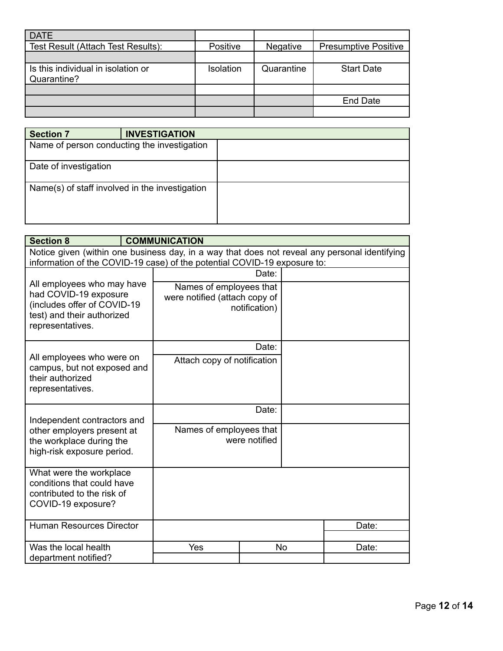| <b>DATE</b>                                       |                  |                 |                             |
|---------------------------------------------------|------------------|-----------------|-----------------------------|
| Test Result (Attach Test Results):                | Positive         | <b>Negative</b> | <b>Presumptive Positive</b> |
|                                                   |                  |                 |                             |
| Is this individual in isolation or<br>Quarantine? | <b>Isolation</b> | Quarantine      | <b>Start Date</b>           |
|                                                   |                  |                 |                             |
|                                                   |                  |                 | <b>End Date</b>             |
|                                                   |                  |                 |                             |

| <b>Section 7</b>                               | <b>INVESTIGATION</b> |  |
|------------------------------------------------|----------------------|--|
| Name of person conducting the investigation    |                      |  |
| Date of investigation                          |                      |  |
| Name(s) of staff involved in the investigation |                      |  |

| <b>Section 8</b>                                                                                                                                                          |  | <b>COMMUNICATION</b>                                     |               |    |       |
|---------------------------------------------------------------------------------------------------------------------------------------------------------------------------|--|----------------------------------------------------------|---------------|----|-------|
| Notice given (within one business day, in a way that does not reveal any personal identifying<br>information of the COVID-19 case) of the potential COVID-19 exposure to: |  |                                                          |               |    |       |
| All employees who may have<br>had COVID-19 exposure<br>(includes offer of COVID-19<br>test) and their authorized<br>representatives.                                      |  |                                                          | Date:         |    |       |
|                                                                                                                                                                           |  | Names of employees that<br>were notified (attach copy of | notification) |    |       |
| All employees who were on<br>campus, but not exposed and<br>their authorized<br>representatives.                                                                          |  |                                                          | Date:         |    |       |
|                                                                                                                                                                           |  | Attach copy of notification                              |               |    |       |
| Independent contractors and<br>other employers present at<br>the workplace during the<br>high-risk exposure period.                                                       |  |                                                          | Date:         |    |       |
|                                                                                                                                                                           |  | Names of employees that<br>were notified                 |               |    |       |
| What were the workplace<br>conditions that could have<br>contributed to the risk of<br>COVID-19 exposure?                                                                 |  |                                                          |               |    |       |
| <b>Human Resources Director</b>                                                                                                                                           |  |                                                          |               |    | Date: |
|                                                                                                                                                                           |  |                                                          |               |    |       |
| Was the local health                                                                                                                                                      |  | Yes                                                      |               | No | Date: |
| department notified?                                                                                                                                                      |  |                                                          |               |    |       |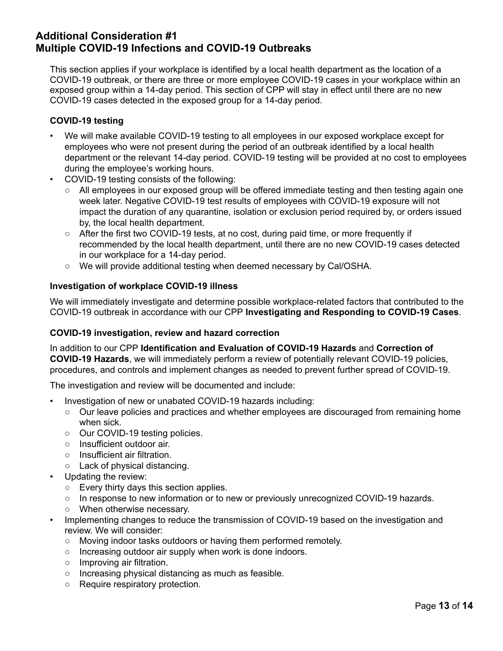# **Additional Consideration #1 Multiple COVID-19 Infections and COVID-19 Outbreaks**

This section applies if your workplace is identified by a local health department as the location of a COVID-19 outbreak, or there are three or more employee COVID-19 cases in your workplace within an exposed group within a 14-day period. This section of CPP will stay in effect until there are no new COVID-19 cases detected in the exposed group for a 14-day period.

### **COVID-19 testing**

- We will make available COVID-19 testing to all employees in our exposed workplace except for  $\bullet$ employees who were not present during the period of an outbreak identified by a local health department or the relevant 14-day period. COVID-19 testing will be provided at no cost to employees during the employee's working hours.
- COVID-19 testing consists of the following:
	- All employees in our exposed group will be offered immediate testing and then testing again one week later. Negative COVID-19 test results of employees with COVID-19 exposure will not impact the duration of any quarantine, isolation or exclusion period required by, or orders issued by, the local health department.
	- $\circ$  After the first two COVID-19 tests, at no cost, during paid time, or more frequently if recommended by the local health department, until there are no new COVID-19 cases detected in our workplace for a 14-day period.
	- We will provide additional testing when deemed necessary by Cal/OSHA.

### **Investigation of workplace COVID-19 illness**

We will immediately investigate and determine possible workplace-related factors that contributed to the COVID-19 outbreak in accordance with our CPP Investigating and Responding to COVID-19 Cases.

### COVID-19 investigation, review and hazard correction

In addition to our CPP Identification and Evaluation of COVID-19 Hazards and Correction of **COVID-19 Hazards**, we will immediately perform a review of potentially relevant COVID-19 policies, procedures, and controls and implement changes as needed to prevent further spread of COVID-19.

The investigation and review will be documented and include:

- $\bullet$ Investigation of new or unabated COVID-19 hazards including:
	- Our leave policies and practices and whether employees are discouraged from remaining home when sick.
	- Our COVID-19 testing policies.
	- $\circ$  Insufficient outdoor air.
	- $\circ$  Insufficient air filtration.
	- Lack of physical distancing.
- Updating the review:
	- $\circ$  Every thirty days this section applies.
	- $\circ$  In response to new information or to new or previously unrecognized COVID-19 hazards.
	- $\circ$  When otherwise necessary.
- Implementing changes to reduce the transmission of COVID-19 based on the investigation and  $\bullet$ review. We will consider:
	- Moving indoor tasks outdoors or having them performed remotely.  $\circ$
	- $\circ$  Increasing outdoor air supply when work is done indoors.
	- $\circ$  Improving air filtration.
	- o Increasing physical distancing as much as feasible.
	- $\circ$  Require respiratory protection.